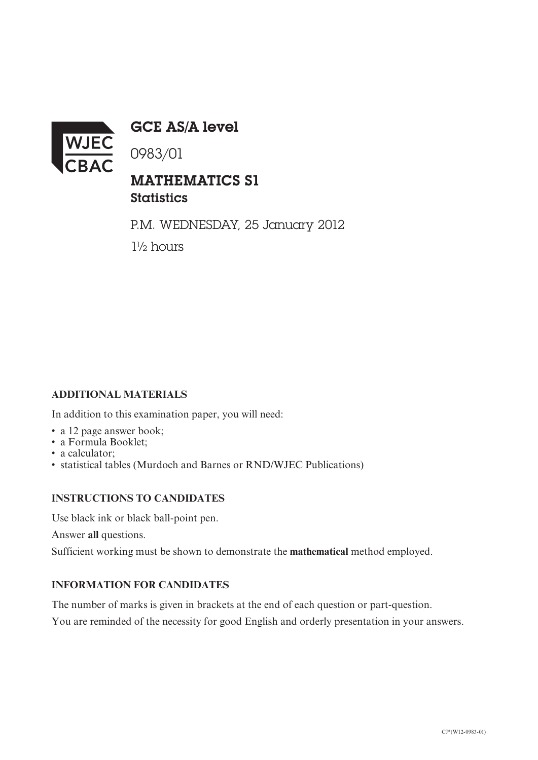

GCE AS/A level

0983/01

## MATHEMATICS S1 **Statistics**

P.M. WEDNESDAY, 25 January 2012 1½ hours

### **ADDITIONAL MATERIALS**

In addition to this examination paper, you will need:

- a 12 page answer book;
- a Formula Booklet;
- a calculator:
- statistical tables (Murdoch and Barnes or RND/WJEC Publications)

#### **INSTRUCTIONS TO CANDIDATES**

Use black ink or black ball-point pen.

Answer **all** questions.

Sufficient working must be shown to demonstrate the **mathematical** method employed.

#### **INFORMATION FOR CANDIDATES**

The number of marks is given in brackets at the end of each question or part-question. You are reminded of the necessity for good English and orderly presentation in your answers.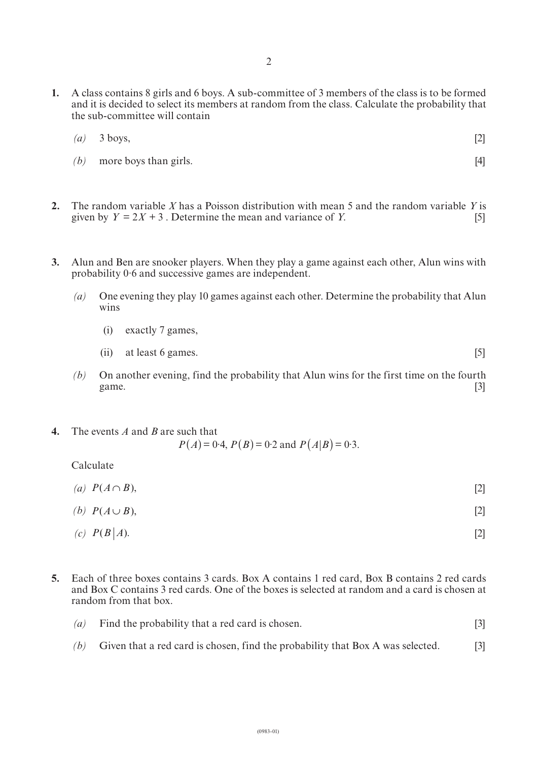**1.** A class contains 8 girls and 6 boys. A sub-committee of 3 members of the class is to be formed and it is decided to select its members at random from the class. Calculate the probability that the sub-committee will contain

| $(a)$ 3 boys, | $[2]$ |
|---------------|-------|
|               |       |

*(b)* more boys than girls. [4]

- **2.** The random variable *X* has a Poisson distribution with mean 5 and the random variable *Y* is given by  $Y = 2X + 3$ . Determine the mean and variance of *Y*. [5]
- **3.** Alun and Ben are snooker players. When they play a game against each other, Alun wins with probability 0·6 and successive games are independent.
	- *(a)* One evening they play 10 games against each other. Determine the probability that Alun wins
		- (i) exactly 7 games,
		- (ii) at least 6 games. [5]
	- *(b)* On another evening, find the probability that Alun wins for the first time on the fourth game. [3] game.  $[3]$
- **4.** The events *A* and *B* are such that  $P(A) = 0.4$ ,  $P(B) = 0.2$  and  $P(A|B) = 0.3$ .

Calculate

- *(a)*  $P(A \cap B)$ , [2]
- $(P(A \cup B))$ , [2]
- $(c)$   $P(B|A)$ . [2]
- **5.** Each of three boxes contains 3 cards. Box A contains 1 red card, Box B contains 2 red cards and Box C contains 3 red cards. One of the boxes is selected at random and a card is chosen at random from that box.
	- *(a)* Find the probability that a red card is chosen. [3]
	- *(b)* Given that a red card is chosen, find the probability that Box A was selected. [3]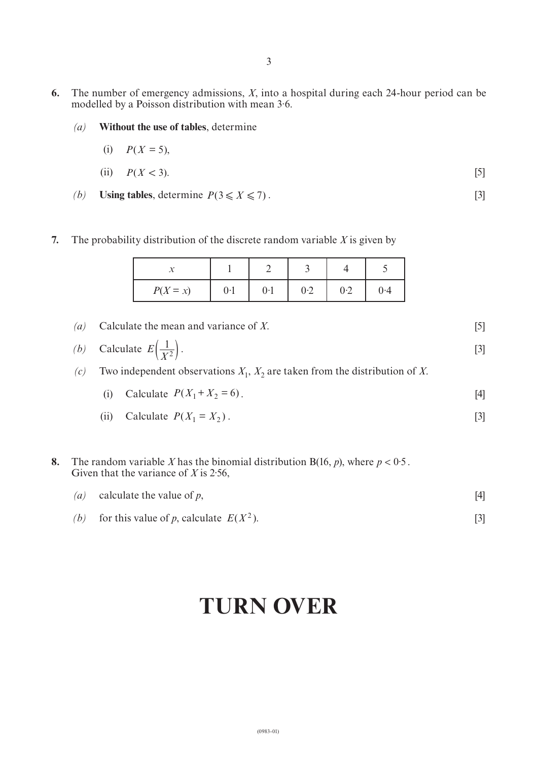- **6.** The number of emergency admissions, *X*, into a hospital during each 24-hour period can be modelled by a Poisson distribution with mean 3·6.
	- *(a)* **Without the use of tables**, determine
		- (i)  $P(X = 5)$ ,
		- (ii)  $P(X < 3)$ . [5]
	- *(b)* **Using tables**, determine  $P(3 \le X \le 7)$ . [3]

#### **7.** The probability distribution of the discrete random variable *X* is given by

| $P(X = x)$ | 0·1 | 0·1 | 0.2 | 0.2 | 0.4 |
|------------|-----|-----|-----|-----|-----|

- *(a)* Calculate the mean and variance of *X*. [5] (b) Calculate  $E\left(\frac{1}{|V|}\right)$ . [3]  $\left(\frac{1}{X^2}\right)$
- *(c)* Two independent observations  $X_1$ ,  $X_2$  are taken from the distribution of *X*.
	- (i) Calculate  $P(X_1 + X_2 = 6)$ . [4]
	- (ii) Calculate  $P(X_1 = X_2)$ . [3]

**8.** The random variable *X* has the binomial distribution  $B(16, p)$ , where  $p < 0.5$ . Given that the variance of *X* is 2·56,

| ( <i>a</i> ) calculate the value of $p$ , |  |
|-------------------------------------------|--|
|                                           |  |

*(b)* for this value of *p*, calculate  $E(X^2)$ . [3]

# **TURN OVER**